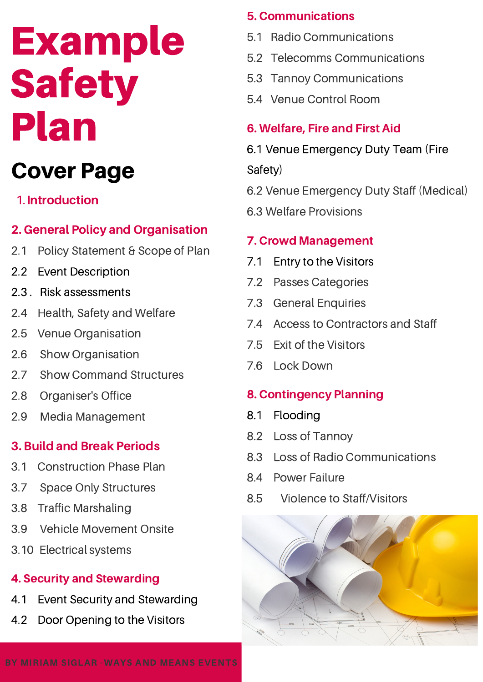# Example Safety Plan

## Cover Page

#### 1. Introduction

#### 2. General Policy and Organisation

- 2.1 Policy Statement & Scope of Plan
- 2.2 Event Description
- 2.3 . Risk assessments
- 2.4 Health, Safety and Welfare
- 2.5 Venue Organisation
- 2.6 Show Organisation
- 2.7 Show Command Structures
- 2.8 Organiser's Office
- 2.9 Media Management

### 3. Build and Break Periods

- 3.1 Construction Phase Plan
- 3.7 Space Only Structures
- 3.8 Traffic Marshaling
- 3.9 Vehicle Movement Onsite
- 3.10 Electrical systems

#### 4. Security and Stewarding

- 4.1 Event Security and Stewarding
- 4.2 Door Opening to the Visitors

#### 5. Communications

- 5.1 Radio Communications
- 5.2 Telecomms Communications
- 5.3 Tannoy Communications
- 5.4 Venue Control Room

#### 6. Welfare, Fire and First Aid

6.1 Venue Emergency Duty Team (Fire

Safety)

- 6.2 Venue Emergency Duty Staff (Medical)
- 6.3 Welfare Provisions

#### 7. Crowd Management

- 7.1 Entry to the Visitors
- 7.2 Passes Categories
- 7.3 General Enquiries
- 7.4 Access to Contractors and Staff
- 7.5 Exit of the Visitors
- 7.6 Lock Down

### 8. Contingency Planning

- 8.1 Flooding
- 8.2 Loss of Tannoy
- 8.3 Loss of Radio Communications
- 8.4 Power Failure
- 8.5 Violence to Staff/Visitors